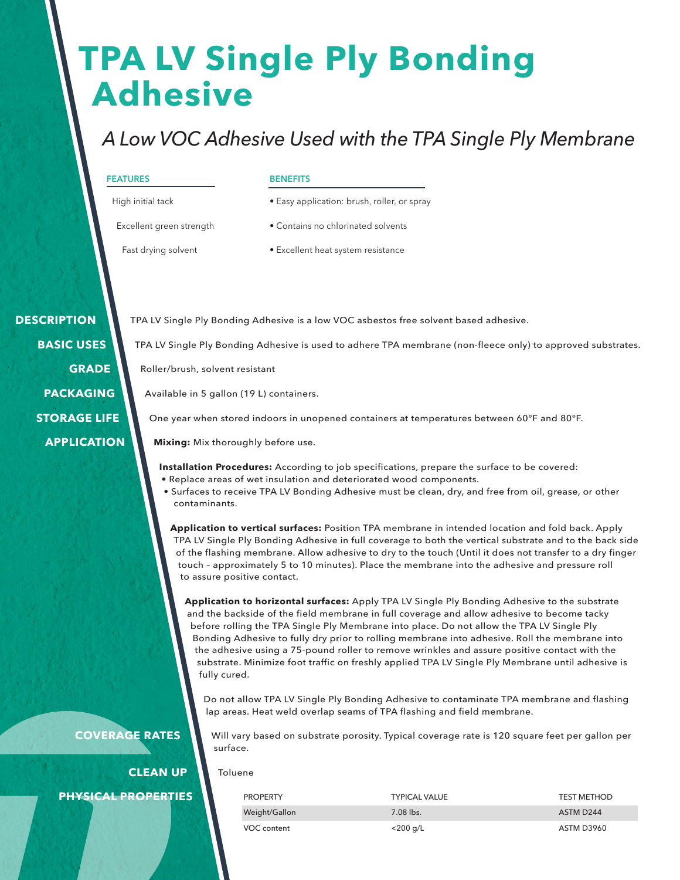# **TPA LV Single Ply Bonding Adhesive**

### *A Low VOC Adhesive Used with the TPA Single Ply Membrane*

#### **FEATURES**

#### **BENEFITS**

High initial tack

- Easy application: brush, roller, or spray
- Excellent green strength
- Contains no chlorinated solvents
- Fast drying solvent
- Excellent heat system resistance

 **DESCRIPTION BASIC USES GRADE PACKAGING STORAGE LIFE APPLICATION**

TPA LV Single Ply Bonding Adhesive is a low VOC asbestos free solvent based adhesive.

TPA LV Single Ply Bonding Adhesive is used to adhere TPA membrane (non-fleece only) to approved substrates.

Roller/brush, solvent resistant

Available in 5 gallon (19 L) containers.

One year when stored indoors in unopened containers at temperatures between 60°F and 80°F.

**Mixing:** Mix thoroughly before use.

**Installation Procedures:** According to job specifications, prepare the surface to be covered:

- Replace areas of wet insulation and deteriorated wood components.
- Surfaces to receive TPA LV Bonding Adhesive must be clean, dry, and free from oil, grease, or other contaminants.

**Application to vertical surfaces:** Position TPA membrane in intended location and fold back. Apply TPA LV Single Ply Bonding Adhesive in full coverage to both the vertical substrate and to the back side of the flashing membrane. Allow adhesive to dry to the touch (Until it does not transfer to a dry finger touch – approximately 5 to 10 minutes). Place the membrane into the adhesive and pressure roll to assure positive contact.

**Application to horizontal surfaces:** Apply TPA LV Single Ply Bonding Adhesive to the substrate and the backside of the field membrane in full coverage and allow adhesive to become tacky before rolling the TPA Single Ply Membrane into place. Do not allow the TPA LV Single Ply Bonding Adhesive to fully dry prior to rolling membrane into adhesive. Roll the membrane into the adhesive using a 75-pound roller to remove wrinkles and assure positive contact with the substrate. Minimize foot traffic on freshly applied TPA LV Single Ply Membrane until adhesive is fully cured.

Do not allow TPA LV Single Ply Bonding Adhesive to contaminate TPA membrane and flashing lap areas. Heat weld overlap seams of TPA flashing and field membrane.

Will vary based on substrate porosity. Typical coverage rate is 120 square feet per gallon per surface.

Toluene

#### **PHYSICAL PROPERTIES**

**CLEAN UP**

**COVERAGE RATES**

| PROPERTY      | <b>TYPICAL VALUE</b> | <b>TEST METHOD</b>    |
|---------------|----------------------|-----------------------|
| Weight/Gallon | $7.08$ lbs.          | ASTM D <sub>244</sub> |
| VOC content   | <200 g/L             | ASTM D3960            |